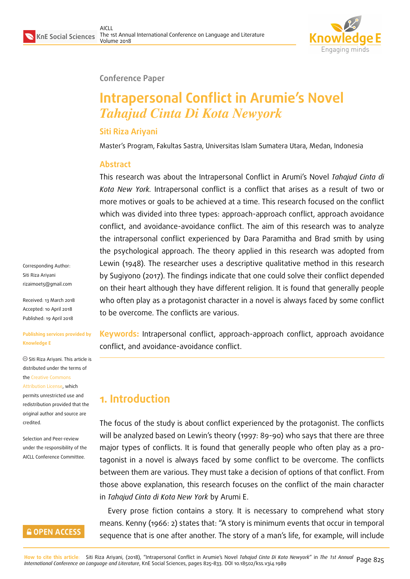

#### **Conference Paper**

# **Intrapersonal Conflict in Arumie's Novel** *Tahajud Cinta Di Kota Newyork*

#### **Siti Riza Ariyani**

Master's Program, Fakultas Sastra, Universitas Islam Sumatera Utara, Medan, Indonesia

#### **Abstract**

This research was about the Intrapersonal Conflict in Arumi's Novel *Tahajud Cinta di Kota New York.* Intrapersonal conflict is a conflict that arises as a result of two or more motives or goals to be achieved at a time. This research focused on the conflict which was divided into three types: approach-approach conflict, approach avoidance conflict, and avoidance-avoidance conflict. The aim of this research was to analyze the intrapersonal conflict experienced by Dara Paramitha and Brad smith by using the psychological approach. The theory applied in this research was adopted from Lewin (1948). The researcher uses a descriptive qualitative method in this research by Sugiyono (2017). The findings indicate that one could solve their conflict depended on their heart although they have different religion. It is found that generally people who often play as a protagonist character in a novel is always faced by some conflict to be overcome. The conflicts are various.

**Keywords:** Intrapersonal conflict, approach-approach conflict, approach avoidance conflict, and avoidance-avoidance conflict.

## **1. Introduction**

The focus of the study is about conflict experienced by the protagonist. The conflicts will be analyzed based on Lewin's theory (1997: 89-90) who says that there are three major types of conflicts. It is found that generally people who often play as a protagonist in a novel is always faced by some conflict to be overcome. The conflicts between them are various. They must take a decision of options of that conflict. From those above explanation, this research focuses on the conflict of the main character in *Tahajud Cinta di Kota New York* by Arumi E.

Every prose fiction contains a story. It is necessary to comprehend what story means. Kenny (1966: 2) states that: "A story is minimum events that occur in temporal sequence that is one after another. The story of a man's life, for example, will include

Corresponding Author: Siti Riza Ariyani rizaimoet5@gmail.com

Received: 13 March 2018 Accepted: 10 April 2018 [Published: 19 April 2018](mailto:rizaimoet5@gmail.com)

#### **Publishing services provided by Knowledge E**

Siti Riza Ariyani. This article is distributed under the terms of the Creative Commons Attribution License, which permits unrestricted use and

redistribution provided that the ori[ginal author and sou](https://creativecommons.org/licenses/by/4.0/)rce are [credited.](https://creativecommons.org/licenses/by/4.0/)

Selection and Peer-review under the responsibility of the AICLL Conference Committee.

#### **GOPEN ACCESS**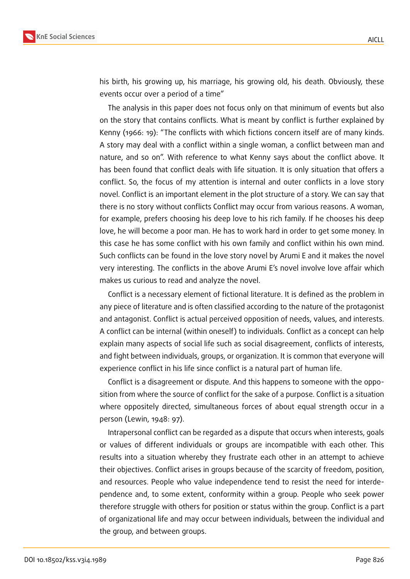

his birth, his growing up, his marriage, his growing old, his death. Obviously, these events occur over a period of a time"

The analysis in this paper does not focus only on that minimum of events but also on the story that contains conflicts. What is meant by conflict is further explained by Kenny (1966: 19): "The conflicts with which fictions concern itself are of many kinds. A story may deal with a conflict within a single woman, a conflict between man and nature, and so on". With reference to what Kenny says about the conflict above. It has been found that conflict deals with life situation. It is only situation that offers a conflict. So, the focus of my attention is internal and outer conflicts in a love story novel. Conflict is an important element in the plot structure of a story. We can say that there is no story without conflicts Conflict may occur from various reasons. A woman, for example, prefers choosing his deep love to his rich family. If he chooses his deep love, he will become a poor man. He has to work hard in order to get some money. In this case he has some conflict with his own family and conflict within his own mind. Such conflicts can be found in the love story novel by Arumi E and it makes the novel very interesting. The conflicts in the above Arumi E's novel involve love affair which makes us curious to read and analyze the novel.

Conflict is a necessary element of fictional literature. It is defined as the problem in any piece of literature and is often classified according to the nature of the protagonist and antagonist. Conflict is actual perceived opposition of needs, values, and interests. A conflict can be internal (within oneself) to individuals. Conflict as a concept can help explain many aspects of social life such as social disagreement, conflicts of interests, and fight between individuals, groups, or organization. It is common that everyone will experience conflict in his life since conflict is a natural part of human life.

Conflict is a disagreement or dispute. And this happens to someone with the opposition from where the source of conflict for the sake of a purpose. Conflict is a situation where oppositely directed, simultaneous forces of about equal strength occur in a person (Lewin, 1948: 97).

Intrapersonal conflict can be regarded as a dispute that occurs when interests, goals or values of different individuals or groups are incompatible with each other. This results into a situation whereby they frustrate each other in an attempt to achieve their objectives. Conflict arises in groups because of the scarcity of freedom, position, and resources. People who value independence tend to resist the need for interdependence and, to some extent, conformity within a group. People who seek power therefore struggle with others for position or status within the group. Conflict is a part of organizational life and may occur between individuals, between the individual and the group, and between groups.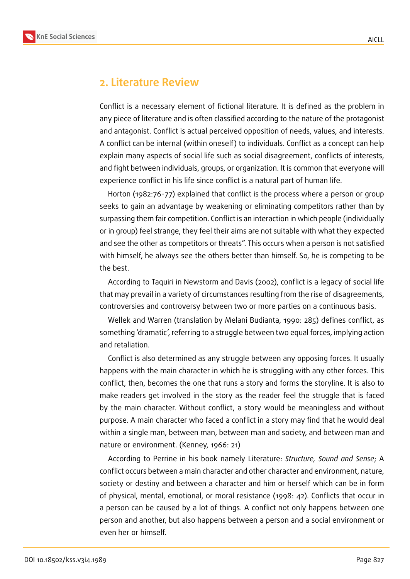



### **2. Literature Review**

Conflict is a necessary element of fictional literature. It is defined as the problem in any piece of literature and is often classified according to the nature of the protagonist and antagonist. Conflict is actual perceived opposition of needs, values, and interests. A conflict can be internal (within oneself) to individuals. Conflict as a concept can help explain many aspects of social life such as social disagreement, conflicts of interests, and fight between individuals, groups, or organization. It is common that everyone will experience conflict in his life since conflict is a natural part of human life.

Horton (1982:76-77) explained that conflict is the process where a person or group seeks to gain an advantage by weakening or eliminating competitors rather than by surpassing them fair competition. Conflict is an interaction in which people (individually or in group) feel strange, they feel their aims are not suitable with what they expected and see the other as competitors or threats". This occurs when a person is not satisfied with himself, he always see the others better than himself. So, he is competing to be the best.

According to Taquiri in Newstorm and Davis (2002), conflict is a legacy of social life that may prevail in a variety of circumstances resulting from the rise of disagreements, controversies and controversy between two or more parties on a continuous basis.

Wellek and Warren (translation by Melani Budianta, 1990: 285) defines conflict, as something 'dramatic', referring to a struggle between two equal forces, implying action and retaliation.

Conflict is also determined as any struggle between any opposing forces. It usually happens with the main character in which he is struggling with any other forces. This conflict, then, becomes the one that runs a story and forms the storyline. It is also to make readers get involved in the story as the reader feel the struggle that is faced by the main character. Without conflict, a story would be meaningless and without purpose. A main character who faced a conflict in a story may find that he would deal within a single man, between man, between man and society, and between man and nature or environment. (Kenney, 1966: 21)

According to Perrine in his book namely Literature: *Structure, Sound and Sense*; A conflict occurs between a main character and other character and environment, nature, society or destiny and between a character and him or herself which can be in form of physical, mental, emotional, or moral resistance (1998: 42). Conflicts that occur in a person can be caused by a lot of things. A conflict not only happens between one person and another, but also happens between a person and a social environment or even her or himself.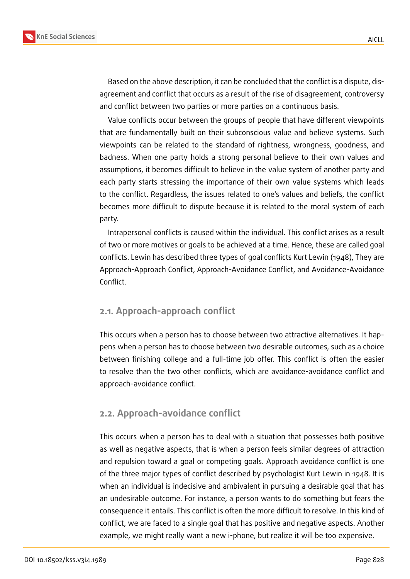

Based on the above description, it can be concluded that the conflict is a dispute, disagreement and conflict that occurs as a result of the rise of disagreement, controversy and conflict between two parties or more parties on a continuous basis.

Value conflicts occur between the groups of people that have different viewpoints that are fundamentally built on their subconscious value and believe systems. Such viewpoints can be related to the standard of rightness, wrongness, goodness, and badness. When one party holds a strong personal believe to their own values and assumptions, it becomes difficult to believe in the value system of another party and each party starts stressing the importance of their own value systems which leads to the conflict. Regardless, the issues related to one's values and beliefs, the conflict becomes more difficult to dispute because it is related to the moral system of each party.

Intrapersonal conflicts is caused within the individual. This conflict arises as a result of two or more motives or goals to be achieved at a time. Hence, these are called goal conflicts. Lewin has described three types of goal conflicts Kurt Lewin (1948), They are Approach-Approach Conflict, Approach-Avoidance Conflict, and Avoidance-Avoidance Conflict.

#### **2.1. Approach-approach conflict**

This occurs when a person has to choose between two attractive alternatives. It happens when a person has to choose between two desirable outcomes, such as a choice between finishing college and a full-time job offer. This conflict is often the easier to resolve than the two other conflicts, which are avoidance-avoidance conflict and approach-avoidance conflict.

#### **2.2. Approach-avoidance conflict**

This occurs when a person has to deal with a situation that possesses both positive as well as negative aspects, that is when a person feels similar degrees of attraction and repulsion toward a goal or competing goals. Approach avoidance conflict is one of the three major types of conflict described by psychologist Kurt Lewin in 1948. It is when an individual is indecisive and ambivalent in pursuing a desirable goal that has an undesirable outcome. For instance, a person wants to do something but fears the consequence it entails. This conflict is often the more difficult to resolve. In this kind of conflict, we are faced to a single goal that has positive and negative aspects. Another example, we might really want a new i-phone, but realize it will be too expensive.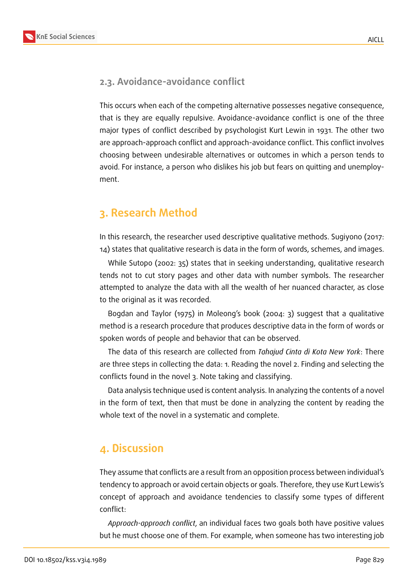

### **2.3. Avoidance-avoidance conflict**

This occurs when each of the competing alternative possesses negative consequence, that is they are equally repulsive. Avoidance-avoidance conflict is one of the three major types of conflict described by psychologist Kurt Lewin in 1931. The other two are approach-approach conflict and approach-avoidance conflict. This conflict involves choosing between undesirable alternatives or outcomes in which a person tends to avoid. For instance, a person who dislikes his job but fears on quitting and unemployment.

## **3. Research Method**

In this research, the researcher used descriptive qualitative methods. Sugiyono (2017: 14) states that qualitative research is data in the form of words, schemes, and images.

While Sutopo (2002: 35) states that in seeking understanding, qualitative research tends not to cut story pages and other data with number symbols. The researcher attempted to analyze the data with all the wealth of her nuanced character, as close to the original as it was recorded.

Bogdan and Taylor (1975) in Moleong's book (2004: 3) suggest that a qualitative method is a research procedure that produces descriptive data in the form of words or spoken words of people and behavior that can be observed.

The data of this research are collected from *Tahajud Cinta di Kota New York*: There are three steps in collecting the data: 1. Reading the novel 2. Finding and selecting the conflicts found in the novel 3. Note taking and classifying.

Data analysis technique used is content analysis. In analyzing the contents of a novel in the form of text, then that must be done in analyzing the content by reading the whole text of the novel in a systematic and complete.

## **4. Discussion**

They assume that conflicts are a result from an opposition process between individual's tendency to approach or avoid certain objects or goals. Therefore, they use Kurt Lewis's concept of approach and avoidance tendencies to classify some types of different conflict:

*Approach-approach conflict*, an individual faces two goals both have positive values but he must choose one of them. For example, when someone has two interesting job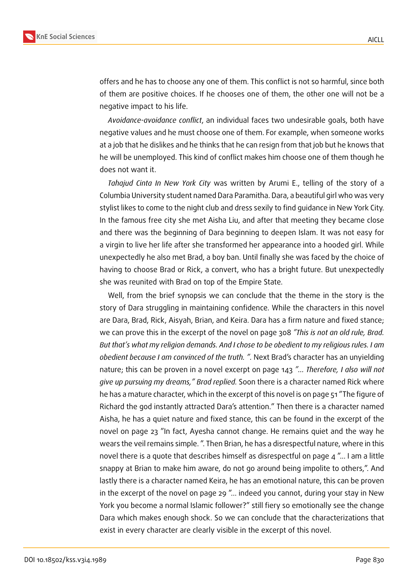

offers and he has to choose any one of them. This conflict is not so harmful, since both of them are positive choices. If he chooses one of them, the other one will not be a negative impact to his life.

*Avoidance-avoidance conflict*, an individual faces two undesirable goals, both have negative values and he must choose one of them. For example, when someone works at a job that he dislikes and he thinks that he can resign from that job but he knows that he will be unemployed. This kind of conflict makes him choose one of them though he does not want it.

*Tahajud Cinta In New York City* was written by Arumi E., telling of the story of a Columbia University student named Dara Paramitha. Dara, a beautiful girl who was very stylist likes to come to the night club and dress sexily to find guidance in New York City. In the famous free city she met Aisha Liu, and after that meeting they became close and there was the beginning of Dara beginning to deepen Islam. It was not easy for a virgin to live her life after she transformed her appearance into a hooded girl. While unexpectedly he also met Brad, a boy ban. Until finally she was faced by the choice of having to choose Brad or Rick, a convert, who has a bright future. But unexpectedly she was reunited with Brad on top of the Empire State.

Well, from the brief synopsis we can conclude that the theme in the story is the story of Dara struggling in maintaining confidence. While the characters in this novel are Dara, Brad, Rick, Aisyah, Brian, and Keira. Dara has a firm nature and fixed stance; we can prove this in the excerpt of the novel on page 308 *"This is not an old rule, Brad. But that's what my religion demands. And I chose to be obedient to my religious rules. I am obedient because I am convinced of the truth. ".* Next Brad's character has an unyielding nature; this can be proven in a novel excerpt on page 143 *"... Therefore, I also will not give up pursuing my dreams," Brad replied.* Soon there is a character named Rick where he has a mature character, which in the excerpt of this novel is on page 51 "The figure of Richard the god instantly attracted Dara's attention." Then there is a character named Aisha, he has a quiet nature and fixed stance, this can be found in the excerpt of the novel on page 23 "In fact, Ayesha cannot change. He remains quiet and the way he wears the veil remains simple. ". Then Brian, he has a disrespectful nature, where in this novel there is a quote that describes himself as disrespectful on page 4 "... I am a little snappy at Brian to make him aware, do not go around being impolite to others,". And lastly there is a character named Keira, he has an emotional nature, this can be proven in the excerpt of the novel on page 29 "... indeed you cannot, during your stay in New York you become a normal Islamic follower?" still fiery so emotionally see the change Dara which makes enough shock. So we can conclude that the characterizations that exist in every character are clearly visible in the excerpt of this novel.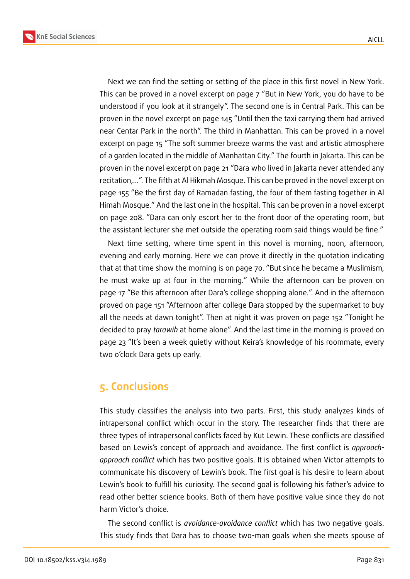

Next we can find the setting or setting of the place in this first novel in New York. This can be proved in a novel excerpt on page 7 "But in New York, you do have to be understood if you look at it strangely". The second one is in Central Park. This can be proven in the novel excerpt on page 145 "Until then the taxi carrying them had arrived near Centar Park in the north". The third in Manhattan. This can be proved in a novel excerpt on page 15 "The soft summer breeze warms the vast and artistic atmosphere of a garden located in the middle of Manhattan City." The fourth in Jakarta. This can be proven in the novel excerpt on page 21 "Dara who lived in Jakarta never attended any recitation,...". The fifth at Al Hikmah Mosque. This can be proved in the novel excerpt on page 155 "Be the first day of Ramadan fasting, the four of them fasting together in Al Himah Mosque." And the last one in the hospital. This can be proven in a novel excerpt on page 208. "Dara can only escort her to the front door of the operating room, but the assistant lecturer she met outside the operating room said things would be fine."

Next time setting, where time spent in this novel is morning, noon, afternoon, evening and early morning. Here we can prove it directly in the quotation indicating that at that time show the morning is on page 70. "But since he became a Muslimism, he must wake up at four in the morning." While the afternoon can be proven on page 17 "Be this afternoon after Dara's college shopping alone.". And in the afternoon proved on page 151 "Afternoon after college Dara stopped by the supermarket to buy all the needs at dawn tonight". Then at night it was proven on page 152 "Tonight he decided to pray *tarawih* at home alone". And the last time in the morning is proved on page 23 "It's been a week quietly without Keira's knowledge of his roommate, every two o'clock Dara gets up early.

## **5. Conclusions**

This study classifies the analysis into two parts. First, this study analyzes kinds of intrapersonal conflict which occur in the story. The researcher finds that there are three types of intrapersonal conflicts faced by Kut Lewin. These conflicts are classified based on Lewis's concept of approach and avoidance. The first conflict is *approachapproach conflict* which has two positive goals. It is obtained when Victor attempts to communicate his discovery of Lewin's book. The first goal is his desire to learn about Lewin's book to fulfill his curiosity. The second goal is following his father's advice to read other better science books. Both of them have positive value since they do not harm Victor's choice.

The second conflict is *avoidance-avoidance conflict* which has two negative goals. This study finds that Dara has to choose two-man goals when she meets spouse of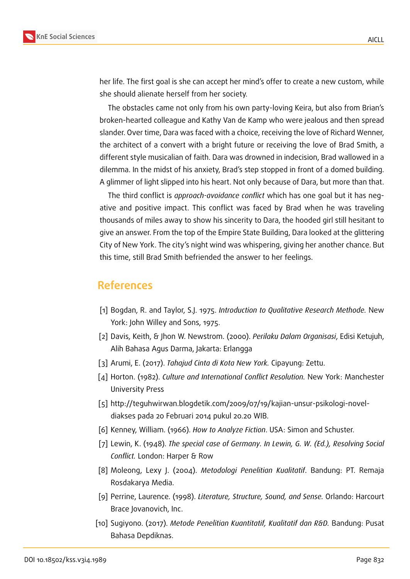

her life. The first goal is she can accept her mind's offer to create a new custom, while she should alienate herself from her society.

The obstacles came not only from his own party-loving Keira, but also from Brian's broken-hearted colleague and Kathy Van de Kamp who were jealous and then spread slander. Over time, Dara was faced with a choice, receiving the love of Richard Wenner, the architect of a convert with a bright future or receiving the love of Brad Smith, a different style musicalian of faith. Dara was drowned in indecision, Brad wallowed in a dilemma. In the midst of his anxiety, Brad's step stopped in front of a domed building. A glimmer of light slipped into his heart. Not only because of Dara, but more than that.

The third conflict is *approach-avoidance conflict* which has one goal but it has negative and positive impact. This conflict was faced by Brad when he was traveling thousands of miles away to show his sincerity to Dara, the hooded girl still hesitant to give an answer. From the top of the Empire State Building, Dara looked at the glittering City of New York. The city's night wind was whispering, giving her another chance. But this time, still Brad Smith befriended the answer to her feelings.

### **References**

- [1] Bogdan, R. and Taylor, S.J. 1975. *Introduction to Qualitative Research Methode.* New York: John Willey and Sons, 1975.
- [2] Davis, Keith, & Jhon W. Newstrom. (2000). *Perilaku Dalam Organisasi*, Edisi Ketujuh, Alih Bahasa Agus Darma, Jakarta: Erlangga
- [3] Arumi, E. (2017). *Tahajud Cinta di Kota New York.* Cipayung: Zettu.
- [4] Horton. (1982). *Culture and International Conflict Resolution.* New York: Manchester University Press
- [5] http://teguhwirwan.blogdetik.com/2009/07/19/kajian-unsur-psikologi-noveldiakses pada 20 Februari 2014 pukul 20.20 WIB.
- [6] Kenney, William. (1966). *How to Analyze Fiction*. USA: Simon and Schuster.
- [7] Lewin, K. (1948). *The special case of Germany. In Lewin, G. W. (Ed.), Resolving Social Conflict.* London: Harper & Row
- [8] Moleong, Lexy J. (2004). *Metodologi Penelitian Kualitatif*. Bandung: PT. Remaja Rosdakarya Media.
- [9] Perrine, Laurence. (1998). *Literature, Structure, Sound, and Sense.* Orlando: Harcourt Brace Jovanovich, Inc.
- [10] Sugiyono. (2017). *Metode Penelitian Kuantitatif, Kualitatif dan R&D.* Bandung: Pusat Bahasa Depdiknas.